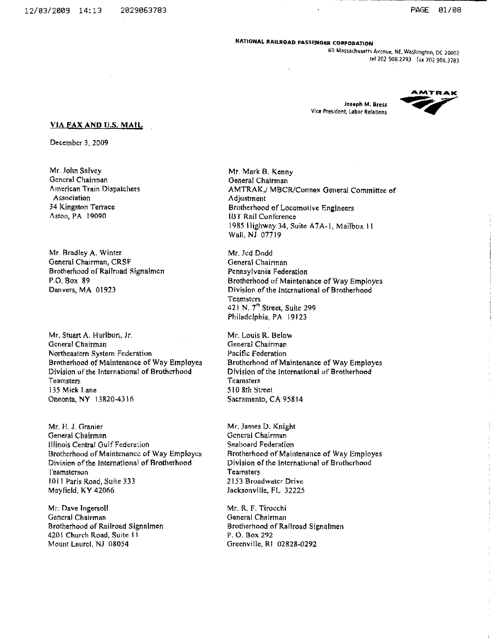#### NATIONAL RAILROAD PASSENGER CORPORATION

60 Massachusetts Avenue, NE, Washington, DC 20002 rel 202 906.2293 [ax 202 906.3783

Joseph M. Bress Vice President, Labor Relations



#### **VIA FAX AND U.S. MAIL**

December 3, 2009

Mr. John Salvey General Chairman American Train Dispatchers Association 34 Kingston Terrace Aston, PA 19090

Mr. Bradley A. Winter General Chairman, CRSF Brotherhood of Railroad Signalmen P.O. Box 89 Danvers, MA 01923

Mr. Stuart A. Hurlburt, Jr. General Chairman Northeastern System Federation Brotherhood of Maintenance of Way Employes Division of the International of Brotherhood Teamsters 135 Mick Lane Oneonta, NY 13820-4316

Mr. H. J. Granier General Chairman Illinois Central Gulf Federation Brotherhood of Maintenance of Way Employes Division of the International of Brotherhood Teamsterson 1011 Paris Road, Suite 333 Mayfield, KY 42066

Mr. Dave Ingersoll General Chairman Brotherhood of Railroad Signalmen 4201 Church Road, Suite 11 Mount Laurel, NJ 08054

Mr. Mark B. Kenny General Chairman AMTRAK,/ MBCR/Connex General Committee of Adjustment Brotherhood of Locomotive Engineers **IBT Rail Conference** 1985 Highway 34, Suite A7A-1, Mailbox 11 Wall, NJ 07719

Mr. Jed Dodd General Chairman Pennsylvania Federation Brotherhood of Maintenance of Way Employes Division of the International of Brotherhood **Teamsters** 421 N. 7<sup>th</sup> Street, Suite 299 Philadelphia, PA 19123

Mr. Louis R. Below General Chairman Pacific Federation Brotherhood of Maintenance of Way Employes Division of the International of Brotherhood Teamsters 510 8th Street Sacramento, CA 95814

Mr. James D. Knight General Chairman Seaboard Federation Brotherhood of Maintenance of Way Employes Division of the International of Brotherhood **Teamsters** 2153 Broadwater Drive Jacksonville, FL 32225

Mr. R. F. Tirocchi General Chairman Brotherhood of Railroad Signalmen P. O. Box 292 Greenville, RI 02828-0292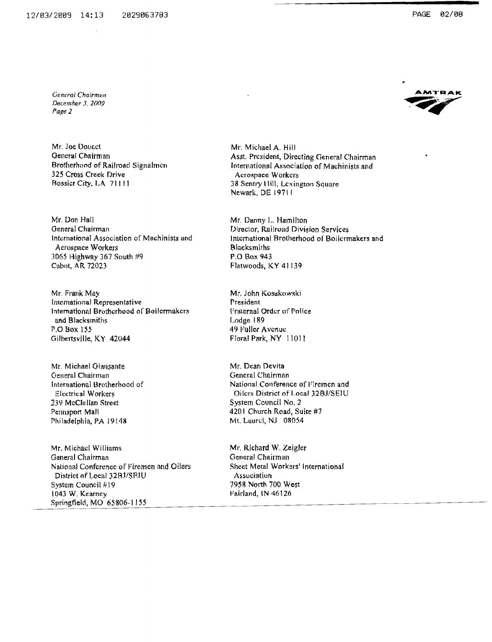General Chairmen December 3, 2009

Page 2

Mr. Joe Doucet General Chairman Brotherhood of Railroad Signalmen 325 Cross Creek Drive Bossier City, LA 71111

Mr. Don Hall General Chairman International Association of Machinists and Acrospace Workers 3065 Highway 367 South #9 Cabot, AR 72023

Mr. Frank May International Representative International Brotherhood of Boilermakers and Blacksmiths P.O Box 155 Gilbertsville, KY 42044

Mr. Michael Giansante General Chairman International Brotherhood of **Electrical Workers** 239 McClellan Street Pennsport Mall Philadelphia, PA 19148

Mr. Michael Williams General Chairman National Conference of Firemen and Oilers District of Local 32BJ/SEIU System Council #19 1043 W. Kearney Springfield, MO 65806-1155

Mr. Michael A. Hill Asst. President, Directing General Chairman International Association of Machinists and Acrospace Workers 38 Sentry Hill, Lexington Square Newark, DE 19711

Mr. Danny L. Hamilton Director, Railroad Division Services International Brotherhood of Boilermakers and **Blacksmiths** P.O Box 943 Flatwoods, KY 41139

Mr. John Kosakowski President Fraternal Order of Police Lodge 189 49 Fuller Avenue Floral Park, NY 11011

Mr. Dean Devita General Chairman National Conference of Firemen and Oilers District of Local 32BJ/SEIU System Council No. 2 4201 Church Road, Suite #7 Mt. Laurel, NJ 08054

Mr. Richard W. Zeigler General Chairman Sheet Metal Workers' International Association 7958 North 700 West Fairland, IN 46126

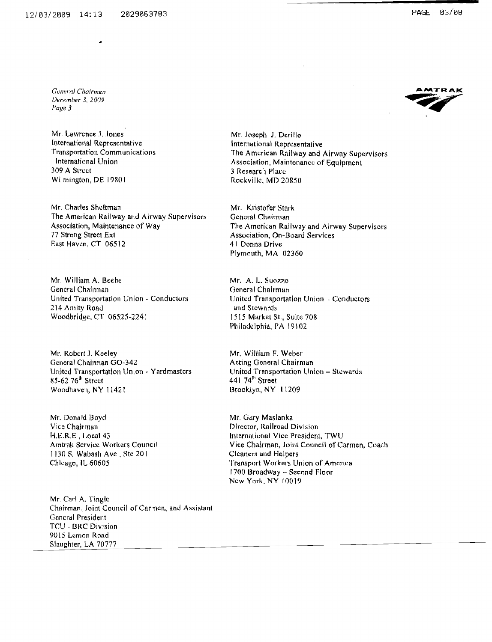**General Chairmen** December 3, 2009 Page 3

Mr. Lawrence J. Jones International Representative **Transportation Communications** International Union 309 A Street Wilmington, DE 19801

Mr. Charles Sheltman The American Railway and Airway Supervisors Association, Maintenance of Way 77 Strong Street Ext East Haven, CT 06512

Mr. William A. Beebe General Chairman United Transportation Union - Conductors 214 Amity Road Woodbridge, CT 06525-2241

Mr. Robert J. Keeley General Chairman GO-342 United Transportation Union - Yardmasters 85-62 76<sup>th</sup> Street Woodhaven, NY 11421

Mr. Donald Boyd Vice Chairman H.E.R.E., Local 43 Amtrak Service Workers Council 1130 S. Wabash Ave., Ste 201 Chicago, IL 60605

Mr. Carl A. Tingle Chairman, Joint Council of Carmen, and Assistant General President **TCU - BRC Division** 9015 Lemon Road Slaughter, LA 70777



Mr. Joseph J. Derillo International Representative The American Railway and Airway Supervisors Association, Maintenance of Equipment 3 Research Place Rockville, MD 20850

Mr. Kristofer Stark General Chairman The American Railway and Airway Supervisors Association, On-Board Services 41 Donna Drive Plymouth, MA 02360

Mr. A. L. Suozzo General Chairman United Transportation Union - Conductors and Stewards 1515 Market St., Suite 708 Philadelphia, PA 19102

Mr. William F. Weber Acting General Chairman United Transportation Union - Stewards 441 74th Street Brooklyn, NY 11209

Mr. Gary Maslanka Director, Railroad Division International Vice President, TWU Vice Chairman, Joint Council of Carmen, Coach Cleaners and Helpers Transport Workers Union of America 1700 Broadway - Second Floor New York, NY 10019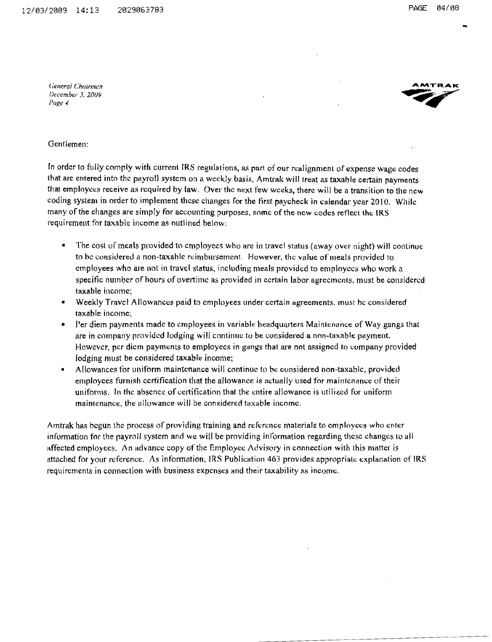General Chairman December 3, 2009 Page 4



#### Gentlemen<sup>.</sup>

In order to fully comply with current IRS regulations, as part of our realignment of expense wage codes that are entered into the payroll system on a weekly basis. Amtrak will treat as taxable certain payments that employees receive as required by law. Over the next few weeks, there will be a transition to the new coding system in order to implement these changes for the first paycheck in calendar year 2010. While many of the changes are simply for accounting purposes, some of the new codes reflect the IRS requirement for taxable income as outlined below:

- $\bullet$ The cost of meals provided to employees who are in travel status (away over night) will continue to be considered a non-taxable reimbursement. However, the value of meals provided to employees who are not in travel status, including meals provided to employees who work a specific number of hours of overtime as provided in certain labor agreements, must be considered taxable income:
- Weekly Travel Allowances paid to employees under certain agreements, must be considered  $\bullet$ taxable income:
- Per diem payments made to employees in variable headquarters Maintenance of Way gangs that are in company provided lodging will continue to be considered a non-taxable payment. However, per diem payments to employees in gangs that are not assigned to company provided lodging must be considered taxable income;
- Allowances for uniform maintenance will continue to be considered non-taxable, provided  $\bullet$ employees furnish certification that the allowance is actually used for maintenance of their uniforms. In the absence of certification that the entire allowance is utilized for uniform maintenance, the allowance will be considered taxable income.

Amtrak has begun the process of providing training and reference materials to employees who enter information for the payroll system and we will be providing information regarding these changes to all affected employees. An advance copy of the Employee Advisory in connection with this matter is attached for your reference. As information, IRS Publication 463 provides appropriate explanation of IRS requirements in connection with business expenses and their taxability as income.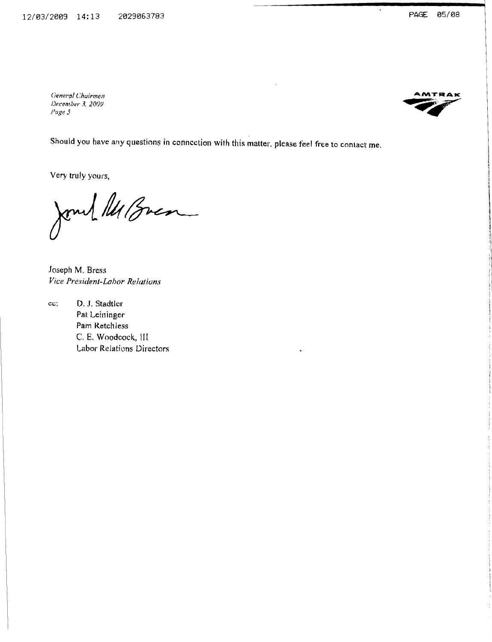General Chairmen December 3, 2009 Page 5



Should you have any questions in connection with this matter, please feel free to contact me.

Very truly yours,

Jones 14 Bren

Joseph M. Bress Vice President-Labor Relations

D. J. Stadtler cc; Pat Leininger Pam Retchless C. E. Woodcock, III Labor Relations Directors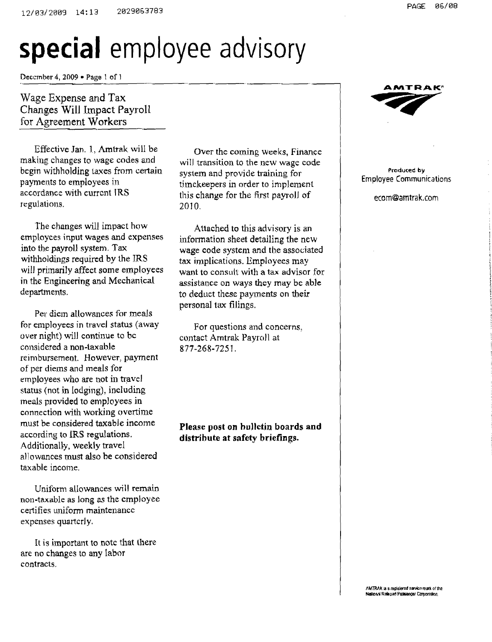# **special** employee advisory

December 4, 2009 • Page 1 of  $\}$ 

### Wage Expense and Tax Changes WilJ Impact Payroll for Agreement Workers

Effective Jan. 1, Amtrak will be making changes to wage codes and begin withholding taxes from certain payments to employees in accordance with current IRS regulations.

The changes will impact how employees input wages and expenses into the payroll system. Tax withholdings required by the IRS will primarily affect some employees in the Engineering and Mechanical departments.

Per diem allowances for meals for employees in travel status (away over night) will continue to bc considered a non-taxahle reimbursement. However, payment of per diems and meals for employees who are not in travel status (not in lodging), including meals provided to employees in connection with working overtime must be considered taxable income according to IRS regulations. Additionally, weekly travel allowances must also he considered taxable income.

Uniform allowances will remain non-taxable as long as the employee certifies uniform maintenance expenses quartcrly.

It is important to note that there are no changes to any labor contracts.

Over the coming weeks, Finance will transition to the new wage code system and provide training for timekeepers in order to implement this change for the first payroll of 2010.

Attached to this advisory is an information sheet detailing the new wage code system and the associated tax implications. Employees may want to consult with a tax advisor for assistance on ways they may be able to deduct these payments on their personal tax filings.

For questions and concerns, contact Amtrak Payroll at 877-268-7251.

Please post on hullctin boards and distribute at safety briefings.



Produced by Employee Communications

ecom@amtrak.com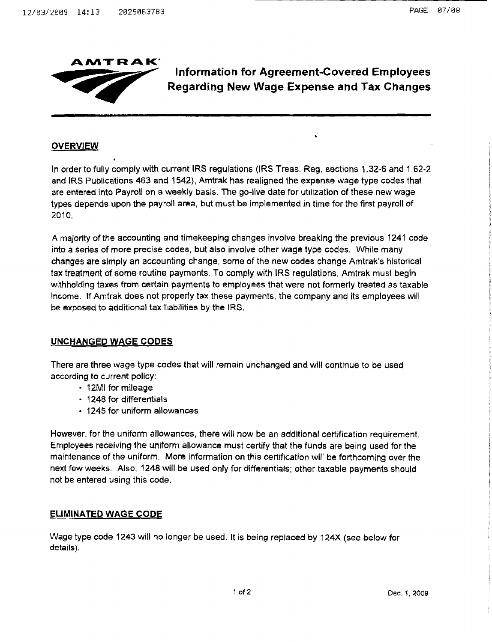

## **Information for** Agreement~Covered **Employees Regarding New Wage Expense and Tax Changes**

#### **OVERVIEW**

In order to fully comply with current IRS regulations (IRS Treas. Reg. sections 1.32-6 and 1.62-2 and IRS PUblications 463 and 1542), Amtrak has realigned the expense wage type codes that are entered into Payroll on a weekly basis. The go-live date for utilization of these new wage types depends upon the payroll area, but must be implemented in time for the first payroll of 2010,

A majority of the accounting and timekeeping changes Involve breaking the previous 1241 code into a series of more precise codes, but also involve other wage type codes. While many changes are simply an accounting change, some of the new codes change Amtrak's historical tax treatment of some routine payments. To comply with IRS regulations, Amtrak must begin withholding taxes from certain payments to employees that were not formerly treated as taxable income. If Amtrak does not properly tax these payments, the company and its employees will be exposed to additional tax liabilities by the IRS.

#### **UNCHANGED WAGE CODES**

There are three wage type codes that will remain unchanged and will continue to be used according to current policy:

- 12MI for mileage
- 1248 for differentials
- 1245 for uniform allowances

However, for the uniform allowances, there will now be an additional certification requirement. Employees receiving the uniform allowance must certify that the funds are being used for the maintenance of the uniform. More information on this certification will be forthcoming over the next few weeks. Also, 1248 will be used only for differentials; other taxable payments should not be entered using this code.

#### **ELIMINATED WAGE CODE**

Wage type code 1243 will no longer be used. It is being replaced by 124X (see below for details).